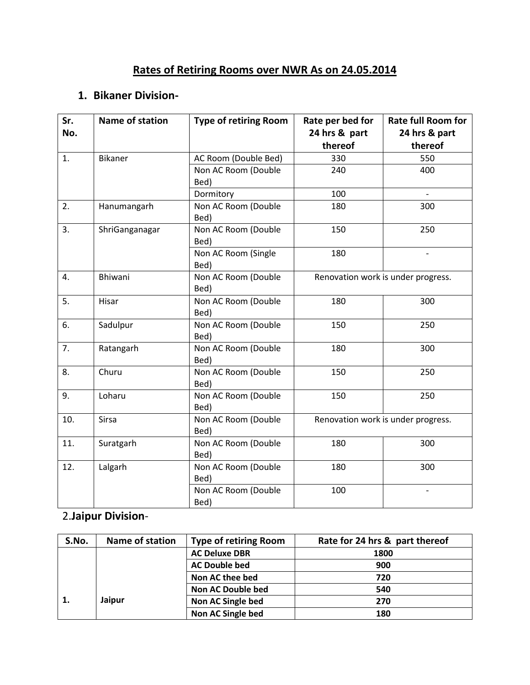## **Rates of Retiring Rooms over NWR As on 24.05.2014**

## **1. Bikaner Division-**

| Sr.<br>No. | Name of station | <b>Type of retiring Room</b> | Rate per bed for<br>24 hrs & part<br>thereof | <b>Rate full Room for</b><br>24 hrs & part<br>thereof |  |
|------------|-----------------|------------------------------|----------------------------------------------|-------------------------------------------------------|--|
| 1.         | Bikaner         | AC Room (Double Bed)         | 330                                          | 550                                                   |  |
|            |                 | Non AC Room (Double<br>Bed)  | 240                                          | 400                                                   |  |
|            |                 | Dormitory                    | 100                                          | $\overline{\phantom{a}}$                              |  |
| 2.         | Hanumangarh     | Non AC Room (Double<br>Bed)  | 180                                          | 300                                                   |  |
| 3.         | ShriGanganagar  | Non AC Room (Double<br>Bed)  | 150                                          | 250                                                   |  |
|            |                 | Non AC Room (Single<br>Bed)  | 180                                          |                                                       |  |
| 4.         | <b>Bhiwani</b>  | Non AC Room (Double<br>Bed)  |                                              | Renovation work is under progress.                    |  |
| 5.         | Hisar           | Non AC Room (Double<br>Bed)  | 180                                          | 300                                                   |  |
| 6.         | Sadulpur        | Non AC Room (Double<br>Bed)  | 150                                          | 250                                                   |  |
| 7.         | Ratangarh       | Non AC Room (Double<br>Bed)  | 180                                          | 300                                                   |  |
| 8.         | Churu           | Non AC Room (Double<br>Bed)  | 150                                          | 250                                                   |  |
| 9.         | Loharu          | Non AC Room (Double<br>Bed)  | 150                                          | 250                                                   |  |
| 10.        | Sirsa           | Non AC Room (Double<br>Bed)  | Renovation work is under progress.           |                                                       |  |
| 11.        | Suratgarh       | Non AC Room (Double<br>Bed)  | 180                                          | 300                                                   |  |
| 12.        | Lalgarh         | Non AC Room (Double<br>Bed)  | 180                                          | 300                                                   |  |
|            |                 | Non AC Room (Double<br>Bed)  | 100                                          | $\overline{\phantom{a}}$                              |  |

## 2.**Jaipur Division**-

| S.No. | Name of station | <b>Type of retiring Room</b> | Rate for 24 hrs & part thereof |
|-------|-----------------|------------------------------|--------------------------------|
|       |                 | <b>AC Deluxe DBR</b>         | 1800                           |
|       |                 | <b>AC Double bed</b>         | 900                            |
|       |                 | Non AC thee bed              | 720                            |
|       |                 | <b>Non AC Double bed</b>     | 540                            |
|       | Jaipur          | Non AC Single bed            | 270                            |
|       |                 | Non AC Single bed            | 180                            |